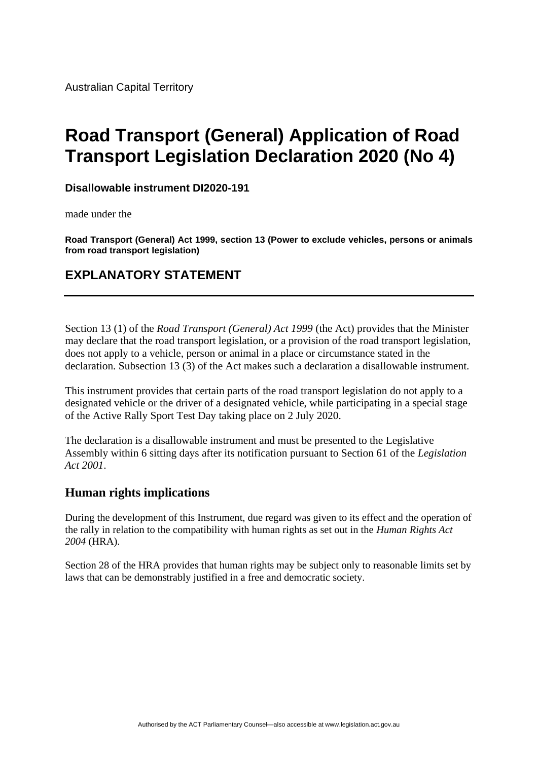# **Road Transport (General) Application of Road Transport Legislation Declaration 2020 (No 4)**

**Disallowable instrument DI2020-191**

made under the

**Road Transport (General) Act 1999, section 13 (Power to exclude vehicles, persons or animals from road transport legislation)**

## **EXPLANATORY STATEMENT**

Section 13 (1) of the *Road Transport (General) Act 1999* (the Act) provides that the Minister may declare that the road transport legislation, or a provision of the road transport legislation, does not apply to a vehicle, person or animal in a place or circumstance stated in the declaration. Subsection 13 (3) of the Act makes such a declaration a disallowable instrument.

This instrument provides that certain parts of the road transport legislation do not apply to a designated vehicle or the driver of a designated vehicle, while participating in a special stage of the Active Rally Sport Test Day taking place on 2 July 2020.

The declaration is a disallowable instrument and must be presented to the Legislative Assembly within 6 sitting days after its notification pursuant to Section 61 of the *Legislation Act 2001*.

### **Human rights implications**

During the development of this Instrument, due regard was given to its effect and the operation of the rally in relation to the compatibility with human rights as set out in the *Human Rights Act 2004* (HRA).

Section 28 of the HRA provides that human rights may be subject only to reasonable limits set by laws that can be demonstrably justified in a free and democratic society.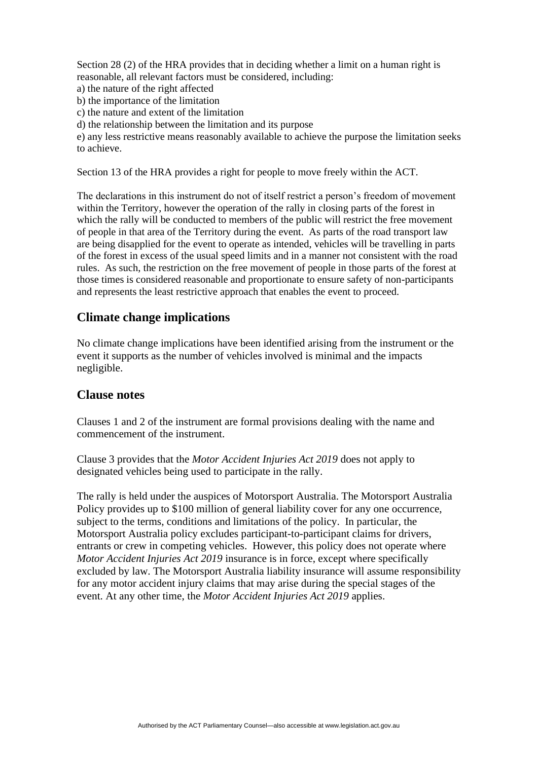Section 28 (2) of the HRA provides that in deciding whether a limit on a human right is reasonable, all relevant factors must be considered, including:

- a) the nature of the right affected
- b) the importance of the limitation
- c) the nature and extent of the limitation
- d) the relationship between the limitation and its purpose

e) any less restrictive means reasonably available to achieve the purpose the limitation seeks to achieve.

Section 13 of the HRA provides a right for people to move freely within the ACT.

The declarations in this instrument do not of itself restrict a person's freedom of movement within the Territory, however the operation of the rally in closing parts of the forest in which the rally will be conducted to members of the public will restrict the free movement of people in that area of the Territory during the event. As parts of the road transport law are being disapplied for the event to operate as intended, vehicles will be travelling in parts of the forest in excess of the usual speed limits and in a manner not consistent with the road rules. As such, the restriction on the free movement of people in those parts of the forest at those times is considered reasonable and proportionate to ensure safety of non-participants and represents the least restrictive approach that enables the event to proceed.

#### **Climate change implications**

No climate change implications have been identified arising from the instrument or the event it supports as the number of vehicles involved is minimal and the impacts negligible.

#### **Clause notes**

Clauses 1 and 2 of the instrument are formal provisions dealing with the name and commencement of the instrument.

Clause 3 provides that the *Motor Accident Injuries Act 2019* does not apply to designated vehicles being used to participate in the rally.

The rally is held under the auspices of Motorsport Australia. The Motorsport Australia Policy provides up to \$100 million of general liability cover for any one occurrence, subject to the terms, conditions and limitations of the policy. In particular, the Motorsport Australia policy excludes participant-to-participant claims for drivers, entrants or crew in competing vehicles. However, this policy does not operate where *Motor Accident Injuries Act 2019* insurance is in force, except where specifically excluded by law. The Motorsport Australia liability insurance will assume responsibility for any motor accident injury claims that may arise during the special stages of the event. At any other time, the *Motor Accident Injuries Act 2019* applies.